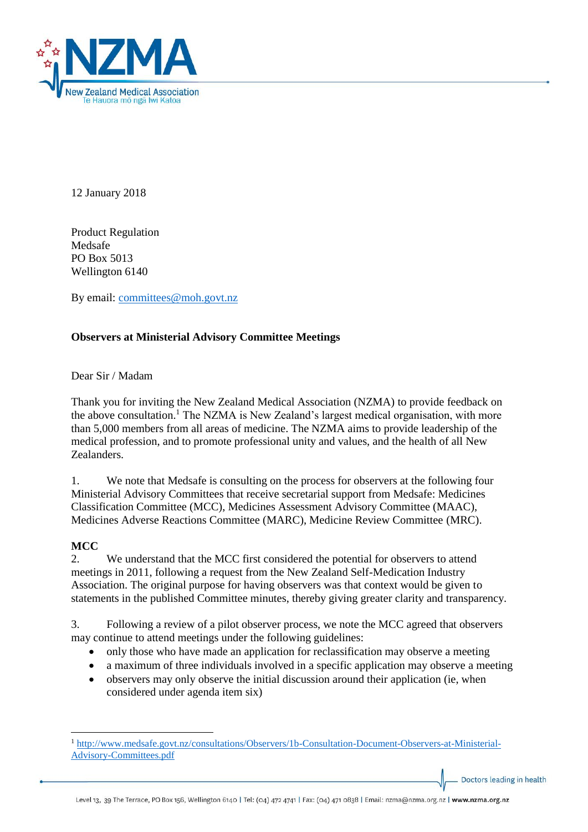

12 January 2018

Product Regulation Medsafe PO Box 5013 Wellington 6140

By email: [committees@moh.govt.nz](mailto:committees@moh.govt.nz)

### **Observers at Ministerial Advisory Committee Meetings**

Dear Sir / Madam

Thank you for inviting the New Zealand Medical Association (NZMA) to provide feedback on the above consultation.<sup>1</sup> The NZMA is New Zealand's largest medical organisation, with more than 5,000 members from all areas of medicine. The NZMA aims to provide leadership of the medical profession, and to promote professional unity and values, and the health of all New Zealanders.

1. We note that Medsafe is consulting on the process for observers at the following four Ministerial Advisory Committees that receive secretarial support from Medsafe: Medicines Classification Committee (MCC), Medicines Assessment Advisory Committee (MAAC), Medicines Adverse Reactions Committee (MARC), Medicine Review Committee (MRC).

#### **MCC**

2. We understand that the MCC first considered the potential for observers to attend meetings in 2011, following a request from the New Zealand Self-Medication Industry Association. The original purpose for having observers was that context would be given to statements in the published Committee minutes, thereby giving greater clarity and transparency.

3. Following a review of a pilot observer process, we note the MCC agreed that observers may continue to attend meetings under the following guidelines:

- only those who have made an application for reclassification may observe a meeting
- a maximum of three individuals involved in a specific application may observe a meeting
- observers may only observe the initial discussion around their application (ie, when considered under agenda item six)

Doctors leading in health

<sup>1</sup> <sup>1</sup> [http://www.medsafe.govt.nz/consultations/Observers/1b-Consultation-Document-Observers-at-Ministerial-](http://www.medsafe.govt.nz/consultations/Observers/1b-Consultation-Document-Observers-at-Ministerial-Advisory-Committees.pdf)[Advisory-Committees.pdf](http://www.medsafe.govt.nz/consultations/Observers/1b-Consultation-Document-Observers-at-Ministerial-Advisory-Committees.pdf)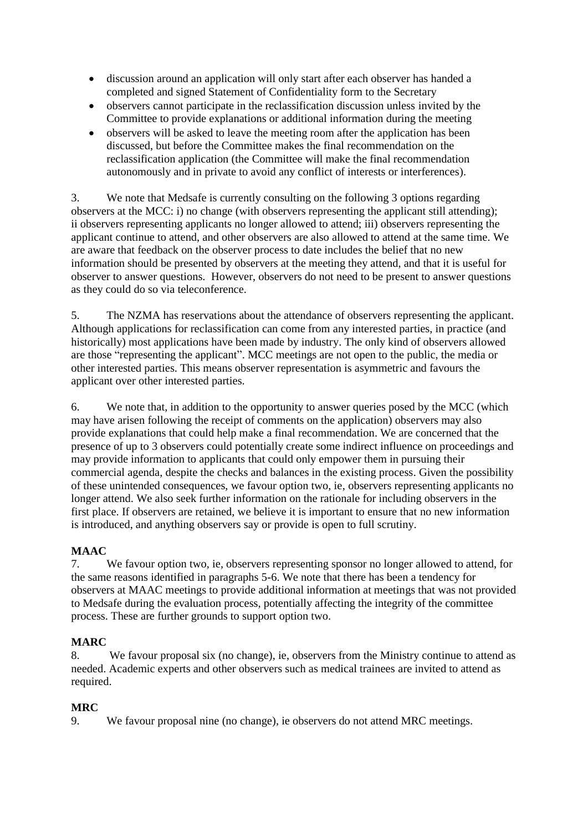- discussion around an application will only start after each observer has handed a completed and signed Statement of Confidentiality form to the Secretary
- observers cannot participate in the reclassification discussion unless invited by the Committee to provide explanations or additional information during the meeting
- observers will be asked to leave the meeting room after the application has been discussed, but before the Committee makes the final recommendation on the reclassification application (the Committee will make the final recommendation autonomously and in private to avoid any conflict of interests or interferences).

3. We note that Medsafe is currently consulting on the following 3 options regarding observers at the MCC: i) no change (with observers representing the applicant still attending); ii observers representing applicants no longer allowed to attend; iii) observers representing the applicant continue to attend, and other observers are also allowed to attend at the same time. We are aware that feedback on the observer process to date includes the belief that no new information should be presented by observers at the meeting they attend, and that it is useful for observer to answer questions. However, observers do not need to be present to answer questions as they could do so via teleconference.

5. The NZMA has reservations about the attendance of observers representing the applicant. Although applications for reclassification can come from any interested parties, in practice (and historically) most applications have been made by industry. The only kind of observers allowed are those "representing the applicant". MCC meetings are not open to the public, the media or other interested parties. This means observer representation is asymmetric and favours the applicant over other interested parties.

6. We note that, in addition to the opportunity to answer queries posed by the MCC (which may have arisen following the receipt of comments on the application) observers may also provide explanations that could help make a final recommendation. We are concerned that the presence of up to 3 observers could potentially create some indirect influence on proceedings and may provide information to applicants that could only empower them in pursuing their commercial agenda, despite the checks and balances in the existing process. Given the possibility of these unintended consequences, we favour option two, ie, observers representing applicants no longer attend. We also seek further information on the rationale for including observers in the first place. If observers are retained, we believe it is important to ensure that no new information is introduced, and anything observers say or provide is open to full scrutiny.

# **MAAC**

7. We favour option two, ie, observers representing sponsor no longer allowed to attend, for the same reasons identified in paragraphs 5-6. We note that there has been a tendency for observers at MAAC meetings to provide additional information at meetings that was not provided to Medsafe during the evaluation process, potentially affecting the integrity of the committee process. These are further grounds to support option two.

## **MARC**

8. We favour proposal six (no change), ie, observers from the Ministry continue to attend as needed. Academic experts and other observers such as medical trainees are invited to attend as required.

## **MRC**

9. We favour proposal nine (no change), ie observers do not attend MRC meetings.